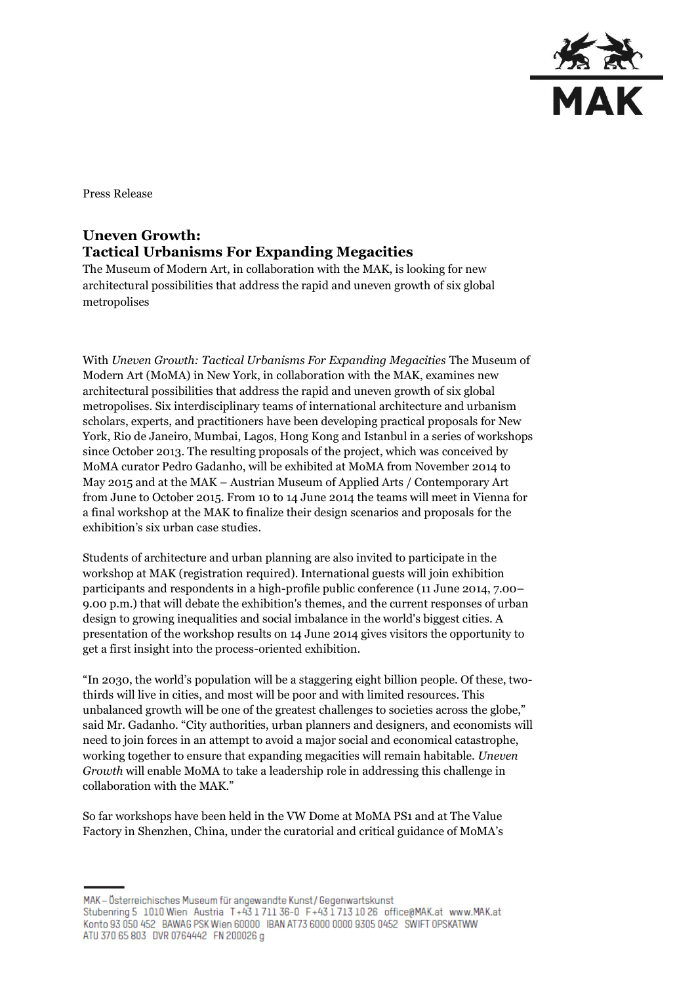

Press Release

# **Uneven Growth: Tactical Urbanisms For Expanding Megacities**

The Museum of Modern Art, in collaboration with the MAK, is looking for new architectural possibilities that address the rapid and uneven growth of six global metropolises

With *Uneven Growth: Tactical Urbanisms For Expanding Megacities* The Museum of Modern Art (MoMA) in New York, in collaboration with the MAK, examines new architectural possibilities that address the rapid and uneven growth of six global metropolises. Six interdisciplinary teams of international architecture and urbanism scholars, experts, and practitioners have been developing practical proposals for New York, Rio de Janeiro, Mumbai, Lagos, Hong Kong and Istanbul in a series of workshops since October 2013. The resulting proposals of the project, which was conceived by MoMA curator Pedro Gadanho, will be exhibited at MoMA from November 2014 to May 2015 and at the MAK – Austrian Museum of Applied Arts / Contemporary Art from June to October 2015. From 10 to 14 June 2014 the teams will meet in Vienna for a final workshop at the MAK to finalize their design scenarios and proposals for the exhibition's six urban case studies.

Students of architecture and urban planning are also invited to participate in the workshop at MAK (registration required). International guests will join exhibition participants and respondents in a high-profile public conference (11 June 2014, 7.00– 9.00 p.m.) that will debate the exhibition's themes, and the current responses of urban design to growing inequalities and social imbalance in the world's biggest cities. A presentation of the workshop results on 14 June 2014 gives visitors the opportunity to get a first insight into the process-oriented exhibition.

"In 2030, the world's population will be a staggering eight billion people. Of these, twothirds will live in cities, and most will be poor and with limited resources. This unbalanced growth will be one of the greatest challenges to societies across the globe," said Mr. Gadanho. "City authorities, urban planners and designers, and economists will need to join forces in an attempt to avoid a major social and economical catastrophe, working together to ensure that expanding megacities will remain habitable. *Uneven Growth* will enable MoMA to take a leadership role in addressing this challenge in collaboration with the MAK."

So far workshops have been held in the VW Dome at MoMA PS1 and at The Value Factory in Shenzhen, China, under the curatorial and critical guidance of MoMA's

MAK - Österreichisches Museum für angewandte Kunst/Gegenwartskunst Stubenring 5 1010 Wien Austria T+43 1711 36-0 F+43 1713 10 26 office@MAK.at www.MAK.at Konto 93 050 452 BAWAG PSK Wien 60000 IBAN AT73 6000 0000 9305 0452 SWIFT OPSKATWW ATU 370 65 803 DVR 0764442 FN 200026 g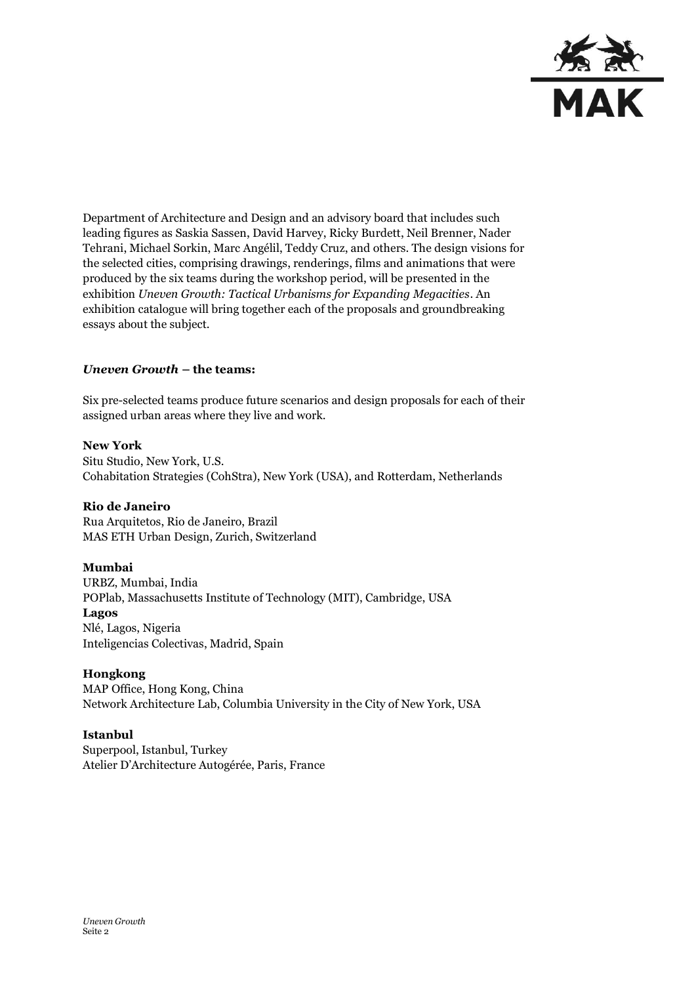

Department of Architecture and Design and an advisory board that includes such leading figures as Saskia Sassen, David Harvey, Ricky Burdett, Neil Brenner, Nader Tehrani, Michael Sorkin, Marc Angélil, Teddy Cruz, and others. The design visions for the selected cities, comprising drawings, renderings, films and animations that were produced by the six teams during the workshop period, will be presented in the exhibition *Uneven Growth: Tactical Urbanisms for Expanding Megacities*. An exhibition catalogue will bring together each of the proposals and groundbreaking essays about the subject.

## *Uneven Growth* **– the teams:**

Six pre-selected teams produce future scenarios and design proposals for each of their assigned urban areas where they live and work.

#### **New York**

Situ Studio, New York, U.S. Cohabitation Strategies (CohStra), New York (USA), and Rotterdam, Netherlands

#### **Rio de Janeiro**

Rua Arquitetos, Rio de Janeiro, Brazil MAS ETH Urban Design, Zurich, Switzerland

## **Mumbai**

URBZ, Mumbai, India POPlab, Massachusetts Institute of Technology (MIT), Cambridge, USA **Lagos**  Nlé, Lagos, Nigeria Inteligencias Colectivas, Madrid, Spain

#### **Hongkong**

MAP Office, Hong Kong, China Network Architecture Lab, Columbia University in the City of New York, USA

#### **Istanbul**

Superpool, Istanbul, Turkey Atelier D'Architecture Autogérée, Paris, France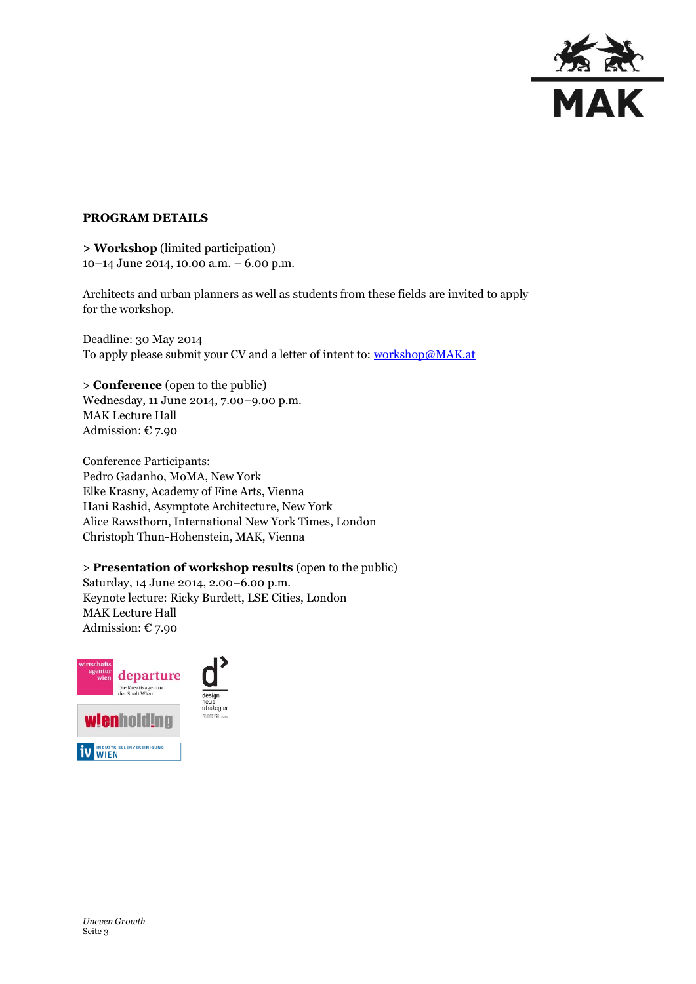

## **PROGRAM DETAILS**

**> Workshop** (limited participation) 10–14 June 2014, 10.00 a.m. – 6.00 p.m.

Architects and urban planners as well as students from these fields are invited to apply for the workshop.

Deadline: 30 May 2014 To apply please submit your CV and a letter of intent to[: workshop@MAK.at](mailto:workshop@MAK.at)

> **Conference** (open to the public) Wednesday, 11 June 2014, 7.00–9.00 p.m. MAK Lecture Hall Admission:  $E$  7.90

Conference Participants: Pedro Gadanho, MoMA, New York Elke Krasny, Academy of Fine Arts, Vienna Hani Rashid, Asymptote Architecture, New York Alice Rawsthorn, International New York Times, London Christoph Thun-Hohenstein, MAK, Vienna

> **Presentation of workshop results** (open to the public)

Saturday, 14 June 2014, 2.00–6.00 p.m. Keynote lecture: Ricky Burdett, LSE Cities, London MAK Lecture Hall Admission:  $\epsilon$  7.90